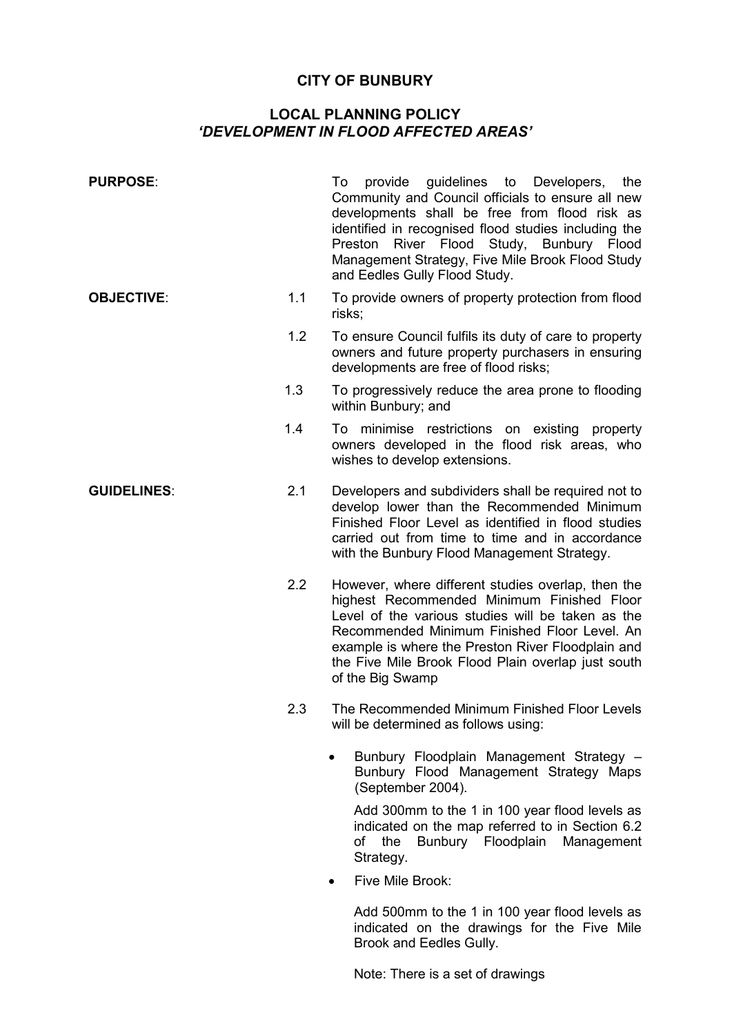## **CITY OF BUNBURY**

## **LOCAL PLANNING POLICY**  *'DEVELOPMENT IN FLOOD AFFECTED AREAS'*

| <b>PURPOSE:</b>    |     | To provide guidelines to Developers,<br>the<br>Community and Council officials to ensure all new<br>developments shall be free from flood risk as<br>identified in recognised flood studies including the<br>River Flood Study, Bunbury Flood<br>Preston<br>Management Strategy, Five Mile Brook Flood Study<br>and Eedles Gully Flood Study. |
|--------------------|-----|-----------------------------------------------------------------------------------------------------------------------------------------------------------------------------------------------------------------------------------------------------------------------------------------------------------------------------------------------|
| <b>OBJECTIVE:</b>  | 1.1 | To provide owners of property protection from flood<br>risks;                                                                                                                                                                                                                                                                                 |
|                    | 1.2 | To ensure Council fulfils its duty of care to property<br>owners and future property purchasers in ensuring<br>developments are free of flood risks;                                                                                                                                                                                          |
|                    | 1.3 | To progressively reduce the area prone to flooding<br>within Bunbury; and                                                                                                                                                                                                                                                                     |
|                    | 1.4 | To minimise restrictions on existing<br>property<br>owners developed in the flood risk areas, who<br>wishes to develop extensions.                                                                                                                                                                                                            |
| <b>GUIDELINES:</b> | 2.1 | Developers and subdividers shall be required not to<br>develop lower than the Recommended Minimum<br>Finished Floor Level as identified in flood studies<br>carried out from time to time and in accordance<br>with the Bunbury Flood Management Strategy.                                                                                    |
|                    | 2.2 | However, where different studies overlap, then the<br>highest Recommended Minimum Finished Floor<br>Level of the various studies will be taken as the<br>Recommended Minimum Finished Floor Level. An<br>example is where the Preston River Floodplain and<br>the Five Mile Brook Flood Plain overlap just south<br>of the Big Swamp          |
|                    | 2.3 | The Recommended Minimum Finished Floor Levels<br>will be determined as follows using:                                                                                                                                                                                                                                                         |
|                    |     | Bunbury Floodplain Management Strategy -<br>Bunbury Flood Management Strategy Maps<br>(September 2004).                                                                                                                                                                                                                                       |
|                    |     | Add 300mm to the 1 in 100 year flood levels as<br>indicated on the map referred to in Section 6.2<br>Bunbury Floodplain<br>the<br>Management<br>οf<br>Strategy.                                                                                                                                                                               |
|                    |     | Five Mile Brook:                                                                                                                                                                                                                                                                                                                              |
|                    |     | Add 500mm to the 1 in 100 year flood levels as<br>indicated on the drawings for the Five Mile<br>Brook and Eedles Gully.                                                                                                                                                                                                                      |

Note: There is a set of drawings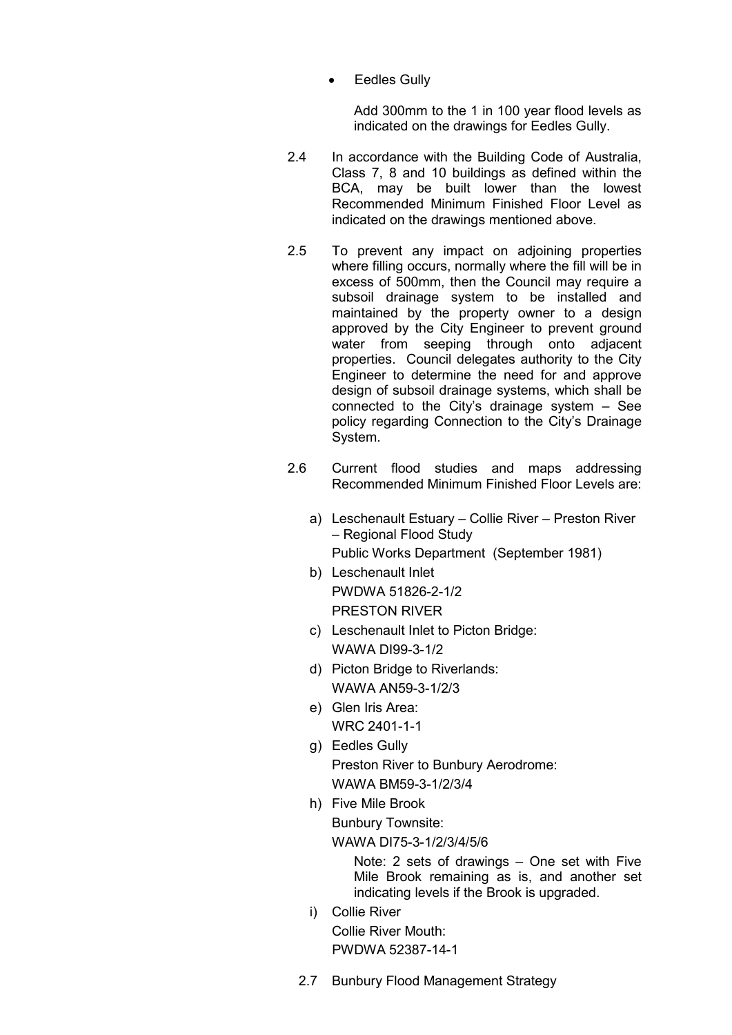**Eedles Gully** 

Add 300mm to the 1 in 100 year flood levels as indicated on the drawings for Eedles Gully.

- 2.4 In accordance with the Building Code of Australia, Class 7, 8 and 10 buildings as defined within the BCA, may be built lower than the lowest Recommended Minimum Finished Floor Level as indicated on the drawings mentioned above.
- 2.5 To prevent any impact on adjoining properties where filling occurs, normally where the fill will be in excess of 500mm, then the Council may require a subsoil drainage system to be installed and maintained by the property owner to a design approved by the City Engineer to prevent ground water from seeping through onto adjacent properties. Council delegates authority to the City Engineer to determine the need for and approve design of subsoil drainage systems, which shall be connected to the City's drainage system – See policy regarding Connection to the City's Drainage System.
- 2.6 Current flood studies and maps addressing Recommended Minimum Finished Floor Levels are:
	- a) Leschenault Estuary Collie River Preston River – Regional Flood Study Public Works Department (September 1981)
	- b) Leschenault Inlet PWDWA 51826-2-1/2 PRESTON RIVER
	- c) Leschenault Inlet to Picton Bridge: WAWA DI99-3-1/2
	- d) Picton Bridge to Riverlands: WAWA AN59-3-1/2/3
	- e) Glen Iris Area: WRC 2401-1-1
	- g) Eedles Gully Preston River to Bunbury Aerodrome: WAWA BM59-3-1/2/3/4
	- h) Five Mile Brook

 Bunbury Townsite: WAWA DI75-3-1/2/3/4/5/6

Note: 2 sets of drawings – One set with Five Mile Brook remaining as is, and another set indicating levels if the Brook is upgraded.

- i) Collie River Collie River Mouth: PWDWA 52387-14-1
- 2.7 Bunbury Flood Management Strategy